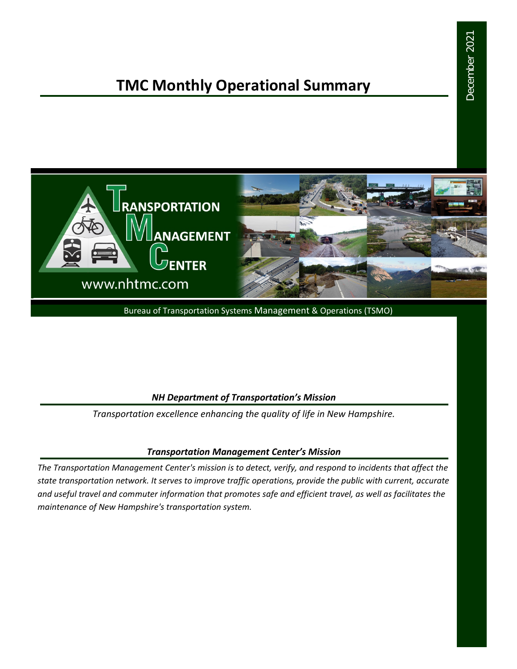# **TMC Monthly Operational Summary**



Bureau of Transportation Systems Management & Operations (TSMO)

### *NH Department of Transportation's Mission*

*Transportation excellence enhancing the quality of life in New Hampshire.*

### *Transportation Management Center's Mission*

*The Transportation Management Center's mission is to detect, verify, and respond to incidents that affect the state transportation network. It serves to improve traffic operations, provide the public with current, accurate and useful travel and commuter information that promotes safe and efficient travel, as well as facilitates the maintenance of New Hampshire's transportation system.*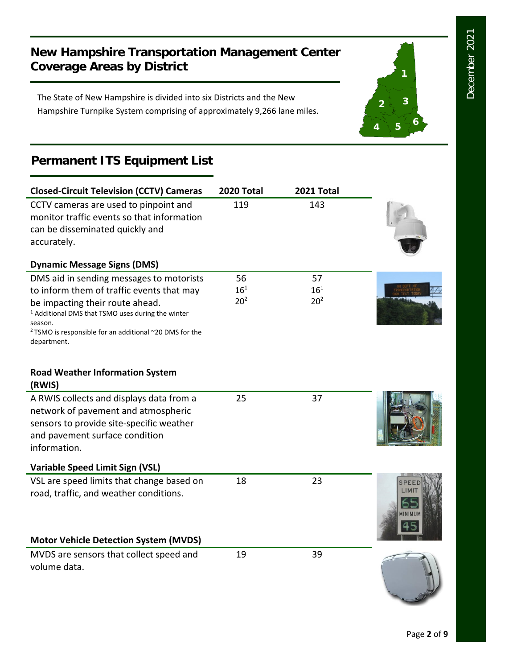**1**

**2 3**

**<sup>4</sup> <sup>5</sup> <sup>6</sup>**

## **New Hampshire Transportation Management Center Coverage Areas by District**

The State of New Hampshire is divided into six Districts and the New Hampshire Turnpike System comprising of approximately 9,266 lane miles.

# **Permanent ITS Equipment List**

| <b>Closed-Circuit Television (CCTV) Cameras</b>                                                                                                                                                 | 2020 Total      | 2021 Total      |  |
|-------------------------------------------------------------------------------------------------------------------------------------------------------------------------------------------------|-----------------|-----------------|--|
| CCTV cameras are used to pinpoint and<br>monitor traffic events so that information<br>can be disseminated quickly and<br>accurately.                                                           | 119             | 143             |  |
| <b>Dynamic Message Signs (DMS)</b>                                                                                                                                                              |                 |                 |  |
| DMS aid in sending messages to motorists                                                                                                                                                        | 56              | 57              |  |
| to inform them of traffic events that may                                                                                                                                                       | $16^{1}$        | $16^{1}$        |  |
| be impacting their route ahead.<br><sup>1</sup> Additional DMS that TSMO uses during the winter<br>season.<br><sup>2</sup> TSMO is responsible for an additional ~20 DMS for the<br>department. | 20 <sup>2</sup> | 20 <sup>2</sup> |  |
| <b>Road Weather Information System</b><br>(RWIS)                                                                                                                                                |                 |                 |  |
| A RWIS collects and displays data from a<br>network of pavement and atmospheric<br>sensors to provide site-specific weather<br>and pavement surface condition<br>information.                   | 25              | 37              |  |
| <b>Variable Speed Limit Sign (VSL)</b>                                                                                                                                                          |                 |                 |  |
| VSL are speed limits that change based on<br>road, traffic, and weather conditions.                                                                                                             | 18              | 23              |  |
| <b>Motor Vehicle Detection System (MVDS)</b>                                                                                                                                                    |                 |                 |  |
| MVDS are sensors that collect speed and<br>volume data.                                                                                                                                         | 19              | 39              |  |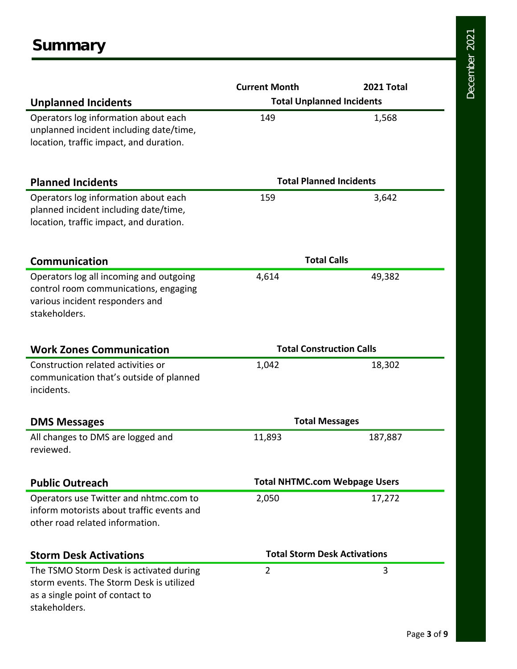|                                                                                                                                         | <b>Current Month</b>                 | 2021 Total |  |
|-----------------------------------------------------------------------------------------------------------------------------------------|--------------------------------------|------------|--|
| <b>Unplanned Incidents</b>                                                                                                              | <b>Total Unplanned Incidents</b>     |            |  |
| Operators log information about each<br>unplanned incident including date/time,<br>location, traffic impact, and duration.              | 149                                  | 1,568      |  |
| <b>Planned Incidents</b>                                                                                                                | <b>Total Planned Incidents</b>       |            |  |
| Operators log information about each<br>planned incident including date/time,<br>location, traffic impact, and duration.                | 159                                  | 3,642      |  |
| Communication                                                                                                                           | <b>Total Calls</b>                   |            |  |
| Operators log all incoming and outgoing<br>control room communications, engaging<br>various incident responders and<br>stakeholders.    | 4,614                                | 49,382     |  |
| <b>Work Zones Communication</b>                                                                                                         | <b>Total Construction Calls</b>      |            |  |
| Construction related activities or<br>communication that's outside of planned<br>incidents.                                             | 1,042                                | 18,302     |  |
| <b>DMS Messages</b>                                                                                                                     | <b>Total Messages</b>                |            |  |
| All changes to DMS are logged and<br>reviewed.                                                                                          | 11,893                               | 187,887    |  |
| <b>Public Outreach</b>                                                                                                                  | <b>Total NHTMC.com Webpage Users</b> |            |  |
| Operators use Twitter and nhtmc.com to<br>inform motorists about traffic events and<br>other road related information.                  | 2,050                                | 17,272     |  |
| <b>Storm Desk Activations</b>                                                                                                           | <b>Total Storm Desk Activations</b>  |            |  |
| The TSMO Storm Desk is activated during<br>storm events. The Storm Desk is utilized<br>as a single point of contact to<br>stakeholders. | 2                                    | 3          |  |

December 2021 December 2021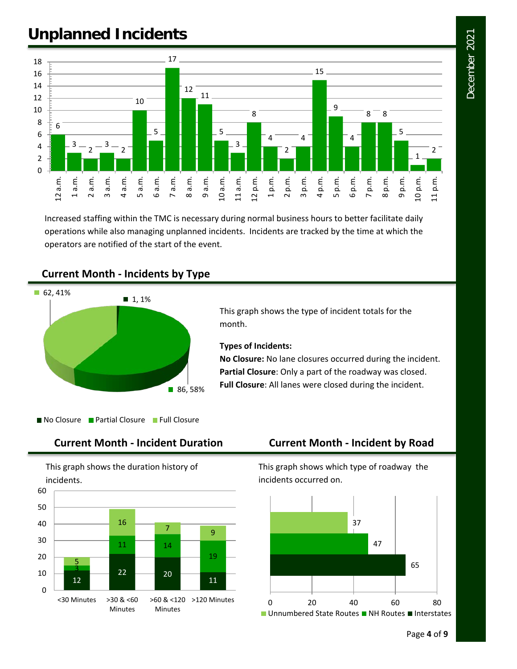# **Unplanned Incidents**



Increased staffing within the TMC is necessary during normal business hours to better facilitate daily operations while also managing unplanned incidents. Incidents are tracked by the time at which the operators are notified of the start of the event.

## **Current Month - Incidents by Type**



This graph shows the type of incident totals for the month.

### **Types of Incidents:**

**No Closure:** No lane closures occurred during the incident. **Partial Closure**: Only a part of the roadway was closed. **Full Closure**: All lanes were closed during the incident.

No Closure Partial Closure Full Closure

### **Current Month - Incident Duration Current Month - Incident by Road**

This graph shows the duration history of incidents.



This graph shows which type of roadway the incidents occurred on.

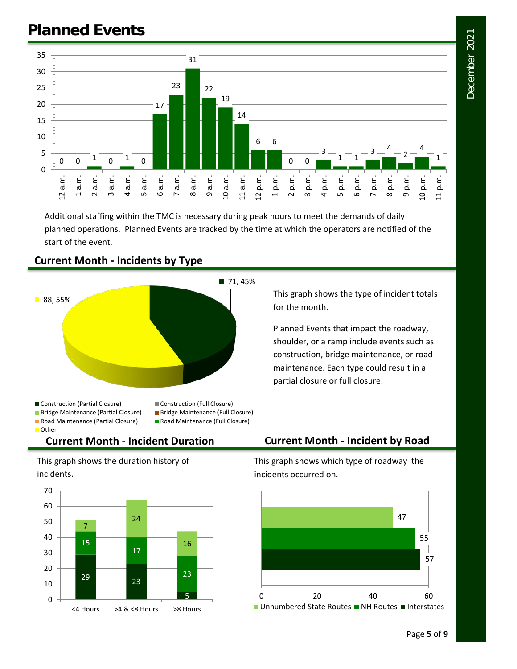# **Planned Events**



Additional staffing within the TMC is necessary during peak hours to meet the demands of daily planned operations. Planned Events are tracked by the time at which the operators are notified of the start of the event.



## **Current Month - Incidents by Type**

■ Bridge Maintenance (Partial Closure) ■ Bridge Maintenance (Full Closure) ■ Road Maintenance (Partial Closure) ■ Road Maintenance (Full Closure) Other

## **Current Month - Incident Duration Current Month - Incident by Road**

This graph shows the duration history of incidents.



partial closure or full closure.

This graph shows the type of incident totals

Planned Events that impact the roadway, shoulder, or a ramp include events such as construction, bridge maintenance, or road maintenance. Each type could result in a

for the month.

This graph shows which type of roadway the incidents occurred on.

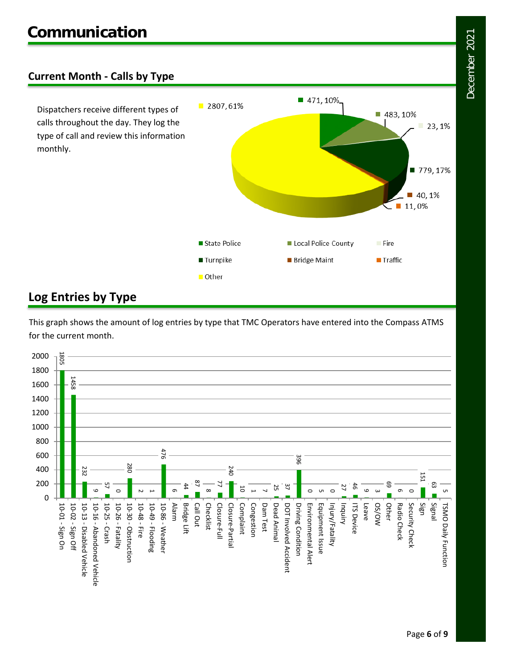## **Current Month - Calls by Type**

Dispatchers receive different types of calls throughout the day. They log the type of call and review this information monthly.



## **Log Entries by Type**

This graph shows the amount of log entries by type that TMC Operators have entered into the Compass ATMS for the current month.

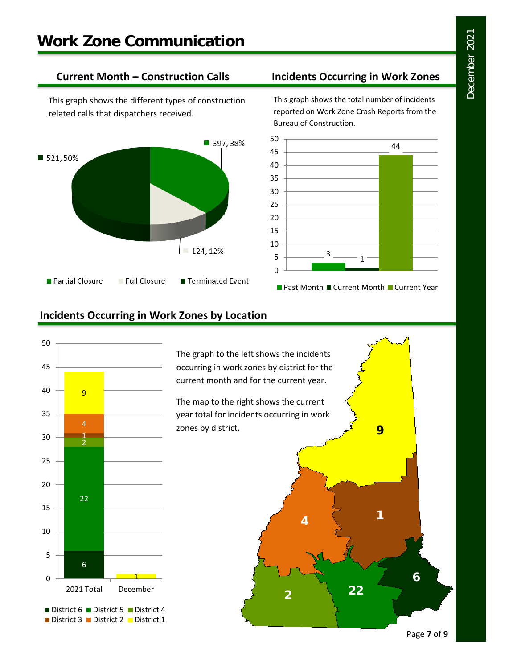This graph shows the different types of construction related calls that dispatchers received.



### **Current Month – Construction Calls Incidents Occurring in Work Zones**

This graph shows the total number of incidents reported on Work Zone Crash Reports from the Bureau of Construction.



## **Incidents Occurring in Work Zones by Location**



The graph to the left shows the incidents occurring in work zones by district for the current month and for the current year.

The map to the right shows the current year total for incidents occurring in work zones by district.

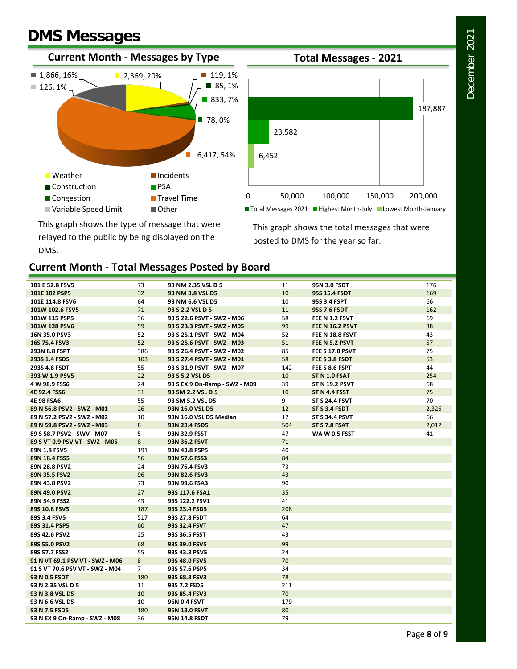# **DMS Messages**





This graph shows the type of message that were relayed to the public by being displayed on the DMS.

This graph shows the total messages that were posted to DMS for the year so far.

## **Current Month - Total Messages Posted by Board**

| 176<br>101 E 52.8 FSV5<br>73<br>93 NM 2.35 VSL D 5<br>11<br><b>95N 3.0 FSDT</b><br>32<br>10<br>169<br>101E 102 PSP5<br>95S 15.4 FSDT<br>93 NM 3.8 VSL D5<br>64<br>10<br>66<br>101E 114.8 FSV6<br>93 NM 6.6 VSL D5<br>95S 3.4 FSPT<br>11<br>162<br>101W 102.6 FSV5<br>71<br>95S 7.6 FSDT<br>93 S 2.2 VSL D 5<br>58<br>69<br>36<br>101W 115 PSP5<br>93 S 22.6 PSVT - SWZ - M06<br>FEE N 1.2 FSVT<br>99<br>38<br>59<br>101W 128 PSV6<br>93 S 23.3 PSVT - SWZ - M05<br><b>FEE N 16.2 PSVT</b><br>52<br>43<br>16N 35.0 PSV3<br>93 S 25.1 PSVT - SWZ - M04<br>52<br>FEE N 18.8 FSVT<br>52<br>51<br>57<br>16S 75.4 FSV3<br>93 S 25.6 PSVT - SWZ - M03<br>FEE N 5.2 PSVT<br>293N 8.8 FSPT<br>386<br>93 S 26.4 PSVT - SWZ - M02<br>85<br>FEE S 17.8 PSVT<br>75<br>58<br>53<br>103<br>293S 1.4 FSD5<br>93 S 27.4 PSVT - SWZ - M01<br>FEE S 3.8 FSDT<br>55<br>44<br>293S 4.8 FSDT<br>93 S 31.9 PSVT - SWZ - M07<br>142<br>FEE S 8.6 FSPT<br>22<br>10<br>254<br>393 W 1.9 PSV5<br>93 S 5.2 VSL D5<br>ST N 1.0 FSAT<br>39<br>68<br>24<br>93 S EX 9 On-Ramp - SWZ - M09<br><b>ST N 19.2 PSVT</b><br>4 W 98.9 FSS6<br>10<br>75<br>31<br><b>4E 92.4 FSS6</b><br>93 SM 2.2 VSL D 5<br>ST N 4.4 FSST<br>9<br>55<br>70<br><b>4E 98 FSA6</b><br>93 SM 5.2 VSL D5<br><b>ST S 24.4 FSVT</b><br>26<br>12<br>2,326<br>89 N 56.8 PSV2 - SWZ - M01<br>ST S 3.4 FSDT<br>93N 16.0 VSL D5<br>89 N 57.2 PSV2 - SWZ - M02<br>10<br>12<br>66<br>93N 16.0 VSL D5 Median<br><b>ST S 34.4 PSVT</b><br>8<br>504<br>89 N 59.8 PSV2 - SWZ - M03<br>93N 23.4 FSD5<br>ST S 7.8 FSAT<br>2,012<br>5<br>89 S 58.7 PSV2 - SWV - M07<br>93N 32.9 FSST<br>47<br>41<br>WA W 0.5 FSST<br>8<br>71<br>89 S VT 0.9 PSV VT - SWZ - M05<br>93N 36.2 FSVT<br>40<br>89N 1.8 FSV5<br>191<br>93N 43.8 PSP5<br>56<br>84<br>93N 57.6 FSS3<br>89N 18.4 FSS5<br>73<br>24<br>89N 28.8 PSV2<br>93N 76.4 FSV3<br>43<br>96<br>89N 35.5 FSV2<br>93N 82.6 FSV3<br>73<br>90<br>89N 43.8 PSV2<br>93N 99.6 FSA3<br>89N 49.0 PSV2<br>27<br>93S 117.6 FSA1<br>35<br>89N 54.9 FSS2<br>43<br>93S 122.2 FSV1<br>41<br>187<br>208<br>89S 10.8 FSV5<br>93S 23.4 FSD5<br>517<br>64<br>89S 3.4 FSV5<br>93S 27.8 FSDT<br>47<br>60<br>89S 31.4 PSP5<br>93S 32.4 FSVT<br>25<br>43<br>89S 42.6 PSV2<br>93S 36.5 FSST<br>99<br>68<br>89S 55.0 PSV2<br>93S 39.0 FSV5<br>55<br>89S 57.7 FSS2<br>93S 43.3 PSV5<br>24<br>8<br>70<br>91 N VT 69.1 PSV VT - SWZ - M06<br>93S 48.0 FSV5<br>34<br>91 S VT 70.6 PSV VT - SWZ - M04<br>$\overline{7}$<br>93S 57.6 PSP5<br>78<br>93 N 0.5 FSDT<br>180<br>93S 68.8 FSV3<br>93 N 2.35 VSL D 5<br>11<br>93S 7.2 FSD5<br>211<br>70<br>93 N 3.8 VSL D5<br>10<br>93S 85.4 FSV3<br>179<br>93 N 6.6 VSL D5<br>10<br>95N 0.4 FSVT |               |     |               |    |  |
|---------------------------------------------------------------------------------------------------------------------------------------------------------------------------------------------------------------------------------------------------------------------------------------------------------------------------------------------------------------------------------------------------------------------------------------------------------------------------------------------------------------------------------------------------------------------------------------------------------------------------------------------------------------------------------------------------------------------------------------------------------------------------------------------------------------------------------------------------------------------------------------------------------------------------------------------------------------------------------------------------------------------------------------------------------------------------------------------------------------------------------------------------------------------------------------------------------------------------------------------------------------------------------------------------------------------------------------------------------------------------------------------------------------------------------------------------------------------------------------------------------------------------------------------------------------------------------------------------------------------------------------------------------------------------------------------------------------------------------------------------------------------------------------------------------------------------------------------------------------------------------------------------------------------------------------------------------------------------------------------------------------------------------------------------------------------------------------------------------------------------------------------------------------------------------------------------------------------------------------------------------------------------------------------------------------------------------------------------------------------------------------------------------------------------------------------------------------------------------------------------------------------------------------------------------------------------------------------------------------------------------------------------------------------------|---------------|-----|---------------|----|--|
|                                                                                                                                                                                                                                                                                                                                                                                                                                                                                                                                                                                                                                                                                                                                                                                                                                                                                                                                                                                                                                                                                                                                                                                                                                                                                                                                                                                                                                                                                                                                                                                                                                                                                                                                                                                                                                                                                                                                                                                                                                                                                                                                                                                                                                                                                                                                                                                                                                                                                                                                                                                                                                                                           |               |     |               |    |  |
|                                                                                                                                                                                                                                                                                                                                                                                                                                                                                                                                                                                                                                                                                                                                                                                                                                                                                                                                                                                                                                                                                                                                                                                                                                                                                                                                                                                                                                                                                                                                                                                                                                                                                                                                                                                                                                                                                                                                                                                                                                                                                                                                                                                                                                                                                                                                                                                                                                                                                                                                                                                                                                                                           |               |     |               |    |  |
|                                                                                                                                                                                                                                                                                                                                                                                                                                                                                                                                                                                                                                                                                                                                                                                                                                                                                                                                                                                                                                                                                                                                                                                                                                                                                                                                                                                                                                                                                                                                                                                                                                                                                                                                                                                                                                                                                                                                                                                                                                                                                                                                                                                                                                                                                                                                                                                                                                                                                                                                                                                                                                                                           |               |     |               |    |  |
|                                                                                                                                                                                                                                                                                                                                                                                                                                                                                                                                                                                                                                                                                                                                                                                                                                                                                                                                                                                                                                                                                                                                                                                                                                                                                                                                                                                                                                                                                                                                                                                                                                                                                                                                                                                                                                                                                                                                                                                                                                                                                                                                                                                                                                                                                                                                                                                                                                                                                                                                                                                                                                                                           |               |     |               |    |  |
|                                                                                                                                                                                                                                                                                                                                                                                                                                                                                                                                                                                                                                                                                                                                                                                                                                                                                                                                                                                                                                                                                                                                                                                                                                                                                                                                                                                                                                                                                                                                                                                                                                                                                                                                                                                                                                                                                                                                                                                                                                                                                                                                                                                                                                                                                                                                                                                                                                                                                                                                                                                                                                                                           |               |     |               |    |  |
|                                                                                                                                                                                                                                                                                                                                                                                                                                                                                                                                                                                                                                                                                                                                                                                                                                                                                                                                                                                                                                                                                                                                                                                                                                                                                                                                                                                                                                                                                                                                                                                                                                                                                                                                                                                                                                                                                                                                                                                                                                                                                                                                                                                                                                                                                                                                                                                                                                                                                                                                                                                                                                                                           |               |     |               |    |  |
|                                                                                                                                                                                                                                                                                                                                                                                                                                                                                                                                                                                                                                                                                                                                                                                                                                                                                                                                                                                                                                                                                                                                                                                                                                                                                                                                                                                                                                                                                                                                                                                                                                                                                                                                                                                                                                                                                                                                                                                                                                                                                                                                                                                                                                                                                                                                                                                                                                                                                                                                                                                                                                                                           |               |     |               |    |  |
|                                                                                                                                                                                                                                                                                                                                                                                                                                                                                                                                                                                                                                                                                                                                                                                                                                                                                                                                                                                                                                                                                                                                                                                                                                                                                                                                                                                                                                                                                                                                                                                                                                                                                                                                                                                                                                                                                                                                                                                                                                                                                                                                                                                                                                                                                                                                                                                                                                                                                                                                                                                                                                                                           |               |     |               |    |  |
|                                                                                                                                                                                                                                                                                                                                                                                                                                                                                                                                                                                                                                                                                                                                                                                                                                                                                                                                                                                                                                                                                                                                                                                                                                                                                                                                                                                                                                                                                                                                                                                                                                                                                                                                                                                                                                                                                                                                                                                                                                                                                                                                                                                                                                                                                                                                                                                                                                                                                                                                                                                                                                                                           |               |     |               |    |  |
|                                                                                                                                                                                                                                                                                                                                                                                                                                                                                                                                                                                                                                                                                                                                                                                                                                                                                                                                                                                                                                                                                                                                                                                                                                                                                                                                                                                                                                                                                                                                                                                                                                                                                                                                                                                                                                                                                                                                                                                                                                                                                                                                                                                                                                                                                                                                                                                                                                                                                                                                                                                                                                                                           |               |     |               |    |  |
|                                                                                                                                                                                                                                                                                                                                                                                                                                                                                                                                                                                                                                                                                                                                                                                                                                                                                                                                                                                                                                                                                                                                                                                                                                                                                                                                                                                                                                                                                                                                                                                                                                                                                                                                                                                                                                                                                                                                                                                                                                                                                                                                                                                                                                                                                                                                                                                                                                                                                                                                                                                                                                                                           |               |     |               |    |  |
|                                                                                                                                                                                                                                                                                                                                                                                                                                                                                                                                                                                                                                                                                                                                                                                                                                                                                                                                                                                                                                                                                                                                                                                                                                                                                                                                                                                                                                                                                                                                                                                                                                                                                                                                                                                                                                                                                                                                                                                                                                                                                                                                                                                                                                                                                                                                                                                                                                                                                                                                                                                                                                                                           |               |     |               |    |  |
|                                                                                                                                                                                                                                                                                                                                                                                                                                                                                                                                                                                                                                                                                                                                                                                                                                                                                                                                                                                                                                                                                                                                                                                                                                                                                                                                                                                                                                                                                                                                                                                                                                                                                                                                                                                                                                                                                                                                                                                                                                                                                                                                                                                                                                                                                                                                                                                                                                                                                                                                                                                                                                                                           |               |     |               |    |  |
|                                                                                                                                                                                                                                                                                                                                                                                                                                                                                                                                                                                                                                                                                                                                                                                                                                                                                                                                                                                                                                                                                                                                                                                                                                                                                                                                                                                                                                                                                                                                                                                                                                                                                                                                                                                                                                                                                                                                                                                                                                                                                                                                                                                                                                                                                                                                                                                                                                                                                                                                                                                                                                                                           |               |     |               |    |  |
|                                                                                                                                                                                                                                                                                                                                                                                                                                                                                                                                                                                                                                                                                                                                                                                                                                                                                                                                                                                                                                                                                                                                                                                                                                                                                                                                                                                                                                                                                                                                                                                                                                                                                                                                                                                                                                                                                                                                                                                                                                                                                                                                                                                                                                                                                                                                                                                                                                                                                                                                                                                                                                                                           |               |     |               |    |  |
|                                                                                                                                                                                                                                                                                                                                                                                                                                                                                                                                                                                                                                                                                                                                                                                                                                                                                                                                                                                                                                                                                                                                                                                                                                                                                                                                                                                                                                                                                                                                                                                                                                                                                                                                                                                                                                                                                                                                                                                                                                                                                                                                                                                                                                                                                                                                                                                                                                                                                                                                                                                                                                                                           |               |     |               |    |  |
|                                                                                                                                                                                                                                                                                                                                                                                                                                                                                                                                                                                                                                                                                                                                                                                                                                                                                                                                                                                                                                                                                                                                                                                                                                                                                                                                                                                                                                                                                                                                                                                                                                                                                                                                                                                                                                                                                                                                                                                                                                                                                                                                                                                                                                                                                                                                                                                                                                                                                                                                                                                                                                                                           |               |     |               |    |  |
|                                                                                                                                                                                                                                                                                                                                                                                                                                                                                                                                                                                                                                                                                                                                                                                                                                                                                                                                                                                                                                                                                                                                                                                                                                                                                                                                                                                                                                                                                                                                                                                                                                                                                                                                                                                                                                                                                                                                                                                                                                                                                                                                                                                                                                                                                                                                                                                                                                                                                                                                                                                                                                                                           |               |     |               |    |  |
|                                                                                                                                                                                                                                                                                                                                                                                                                                                                                                                                                                                                                                                                                                                                                                                                                                                                                                                                                                                                                                                                                                                                                                                                                                                                                                                                                                                                                                                                                                                                                                                                                                                                                                                                                                                                                                                                                                                                                                                                                                                                                                                                                                                                                                                                                                                                                                                                                                                                                                                                                                                                                                                                           |               |     |               |    |  |
|                                                                                                                                                                                                                                                                                                                                                                                                                                                                                                                                                                                                                                                                                                                                                                                                                                                                                                                                                                                                                                                                                                                                                                                                                                                                                                                                                                                                                                                                                                                                                                                                                                                                                                                                                                                                                                                                                                                                                                                                                                                                                                                                                                                                                                                                                                                                                                                                                                                                                                                                                                                                                                                                           |               |     |               |    |  |
|                                                                                                                                                                                                                                                                                                                                                                                                                                                                                                                                                                                                                                                                                                                                                                                                                                                                                                                                                                                                                                                                                                                                                                                                                                                                                                                                                                                                                                                                                                                                                                                                                                                                                                                                                                                                                                                                                                                                                                                                                                                                                                                                                                                                                                                                                                                                                                                                                                                                                                                                                                                                                                                                           |               |     |               |    |  |
|                                                                                                                                                                                                                                                                                                                                                                                                                                                                                                                                                                                                                                                                                                                                                                                                                                                                                                                                                                                                                                                                                                                                                                                                                                                                                                                                                                                                                                                                                                                                                                                                                                                                                                                                                                                                                                                                                                                                                                                                                                                                                                                                                                                                                                                                                                                                                                                                                                                                                                                                                                                                                                                                           |               |     |               |    |  |
|                                                                                                                                                                                                                                                                                                                                                                                                                                                                                                                                                                                                                                                                                                                                                                                                                                                                                                                                                                                                                                                                                                                                                                                                                                                                                                                                                                                                                                                                                                                                                                                                                                                                                                                                                                                                                                                                                                                                                                                                                                                                                                                                                                                                                                                                                                                                                                                                                                                                                                                                                                                                                                                                           |               |     |               |    |  |
|                                                                                                                                                                                                                                                                                                                                                                                                                                                                                                                                                                                                                                                                                                                                                                                                                                                                                                                                                                                                                                                                                                                                                                                                                                                                                                                                                                                                                                                                                                                                                                                                                                                                                                                                                                                                                                                                                                                                                                                                                                                                                                                                                                                                                                                                                                                                                                                                                                                                                                                                                                                                                                                                           |               |     |               |    |  |
|                                                                                                                                                                                                                                                                                                                                                                                                                                                                                                                                                                                                                                                                                                                                                                                                                                                                                                                                                                                                                                                                                                                                                                                                                                                                                                                                                                                                                                                                                                                                                                                                                                                                                                                                                                                                                                                                                                                                                                                                                                                                                                                                                                                                                                                                                                                                                                                                                                                                                                                                                                                                                                                                           |               |     |               |    |  |
|                                                                                                                                                                                                                                                                                                                                                                                                                                                                                                                                                                                                                                                                                                                                                                                                                                                                                                                                                                                                                                                                                                                                                                                                                                                                                                                                                                                                                                                                                                                                                                                                                                                                                                                                                                                                                                                                                                                                                                                                                                                                                                                                                                                                                                                                                                                                                                                                                                                                                                                                                                                                                                                                           |               |     |               |    |  |
|                                                                                                                                                                                                                                                                                                                                                                                                                                                                                                                                                                                                                                                                                                                                                                                                                                                                                                                                                                                                                                                                                                                                                                                                                                                                                                                                                                                                                                                                                                                                                                                                                                                                                                                                                                                                                                                                                                                                                                                                                                                                                                                                                                                                                                                                                                                                                                                                                                                                                                                                                                                                                                                                           |               |     |               |    |  |
|                                                                                                                                                                                                                                                                                                                                                                                                                                                                                                                                                                                                                                                                                                                                                                                                                                                                                                                                                                                                                                                                                                                                                                                                                                                                                                                                                                                                                                                                                                                                                                                                                                                                                                                                                                                                                                                                                                                                                                                                                                                                                                                                                                                                                                                                                                                                                                                                                                                                                                                                                                                                                                                                           |               |     |               |    |  |
|                                                                                                                                                                                                                                                                                                                                                                                                                                                                                                                                                                                                                                                                                                                                                                                                                                                                                                                                                                                                                                                                                                                                                                                                                                                                                                                                                                                                                                                                                                                                                                                                                                                                                                                                                                                                                                                                                                                                                                                                                                                                                                                                                                                                                                                                                                                                                                                                                                                                                                                                                                                                                                                                           |               |     |               |    |  |
|                                                                                                                                                                                                                                                                                                                                                                                                                                                                                                                                                                                                                                                                                                                                                                                                                                                                                                                                                                                                                                                                                                                                                                                                                                                                                                                                                                                                                                                                                                                                                                                                                                                                                                                                                                                                                                                                                                                                                                                                                                                                                                                                                                                                                                                                                                                                                                                                                                                                                                                                                                                                                                                                           |               |     |               |    |  |
|                                                                                                                                                                                                                                                                                                                                                                                                                                                                                                                                                                                                                                                                                                                                                                                                                                                                                                                                                                                                                                                                                                                                                                                                                                                                                                                                                                                                                                                                                                                                                                                                                                                                                                                                                                                                                                                                                                                                                                                                                                                                                                                                                                                                                                                                                                                                                                                                                                                                                                                                                                                                                                                                           |               |     |               |    |  |
|                                                                                                                                                                                                                                                                                                                                                                                                                                                                                                                                                                                                                                                                                                                                                                                                                                                                                                                                                                                                                                                                                                                                                                                                                                                                                                                                                                                                                                                                                                                                                                                                                                                                                                                                                                                                                                                                                                                                                                                                                                                                                                                                                                                                                                                                                                                                                                                                                                                                                                                                                                                                                                                                           |               |     |               |    |  |
|                                                                                                                                                                                                                                                                                                                                                                                                                                                                                                                                                                                                                                                                                                                                                                                                                                                                                                                                                                                                                                                                                                                                                                                                                                                                                                                                                                                                                                                                                                                                                                                                                                                                                                                                                                                                                                                                                                                                                                                                                                                                                                                                                                                                                                                                                                                                                                                                                                                                                                                                                                                                                                                                           |               |     |               |    |  |
|                                                                                                                                                                                                                                                                                                                                                                                                                                                                                                                                                                                                                                                                                                                                                                                                                                                                                                                                                                                                                                                                                                                                                                                                                                                                                                                                                                                                                                                                                                                                                                                                                                                                                                                                                                                                                                                                                                                                                                                                                                                                                                                                                                                                                                                                                                                                                                                                                                                                                                                                                                                                                                                                           |               |     |               |    |  |
|                                                                                                                                                                                                                                                                                                                                                                                                                                                                                                                                                                                                                                                                                                                                                                                                                                                                                                                                                                                                                                                                                                                                                                                                                                                                                                                                                                                                                                                                                                                                                                                                                                                                                                                                                                                                                                                                                                                                                                                                                                                                                                                                                                                                                                                                                                                                                                                                                                                                                                                                                                                                                                                                           |               |     |               |    |  |
|                                                                                                                                                                                                                                                                                                                                                                                                                                                                                                                                                                                                                                                                                                                                                                                                                                                                                                                                                                                                                                                                                                                                                                                                                                                                                                                                                                                                                                                                                                                                                                                                                                                                                                                                                                                                                                                                                                                                                                                                                                                                                                                                                                                                                                                                                                                                                                                                                                                                                                                                                                                                                                                                           |               |     |               |    |  |
|                                                                                                                                                                                                                                                                                                                                                                                                                                                                                                                                                                                                                                                                                                                                                                                                                                                                                                                                                                                                                                                                                                                                                                                                                                                                                                                                                                                                                                                                                                                                                                                                                                                                                                                                                                                                                                                                                                                                                                                                                                                                                                                                                                                                                                                                                                                                                                                                                                                                                                                                                                                                                                                                           |               |     |               |    |  |
|                                                                                                                                                                                                                                                                                                                                                                                                                                                                                                                                                                                                                                                                                                                                                                                                                                                                                                                                                                                                                                                                                                                                                                                                                                                                                                                                                                                                                                                                                                                                                                                                                                                                                                                                                                                                                                                                                                                                                                                                                                                                                                                                                                                                                                                                                                                                                                                                                                                                                                                                                                                                                                                                           |               |     |               |    |  |
|                                                                                                                                                                                                                                                                                                                                                                                                                                                                                                                                                                                                                                                                                                                                                                                                                                                                                                                                                                                                                                                                                                                                                                                                                                                                                                                                                                                                                                                                                                                                                                                                                                                                                                                                                                                                                                                                                                                                                                                                                                                                                                                                                                                                                                                                                                                                                                                                                                                                                                                                                                                                                                                                           |               |     |               |    |  |
|                                                                                                                                                                                                                                                                                                                                                                                                                                                                                                                                                                                                                                                                                                                                                                                                                                                                                                                                                                                                                                                                                                                                                                                                                                                                                                                                                                                                                                                                                                                                                                                                                                                                                                                                                                                                                                                                                                                                                                                                                                                                                                                                                                                                                                                                                                                                                                                                                                                                                                                                                                                                                                                                           | 93 N 7.5 FSD5 | 180 | 95N 13.0 FSVT | 80 |  |
| 79<br>93 N EX 9 On-Ramp - SWZ - M08<br>36<br>95N 14.8 FSDT                                                                                                                                                                                                                                                                                                                                                                                                                                                                                                                                                                                                                                                                                                                                                                                                                                                                                                                                                                                                                                                                                                                                                                                                                                                                                                                                                                                                                                                                                                                                                                                                                                                                                                                                                                                                                                                                                                                                                                                                                                                                                                                                                                                                                                                                                                                                                                                                                                                                                                                                                                                                                |               |     |               |    |  |